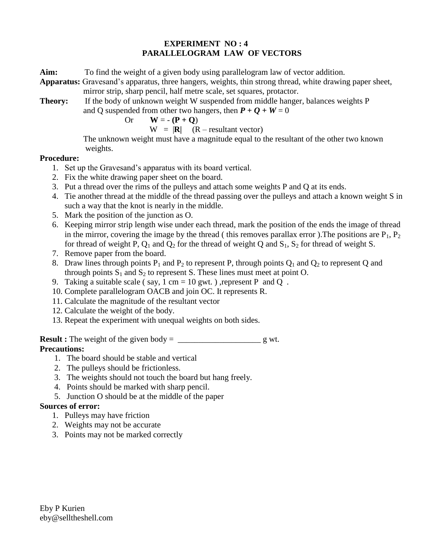## **EXPERIMENT NO : 4 PARALLELOGRAM LAW OF VECTORS**

**Aim:** To find the weight of a given body using parallelogram law of vector addition.

**Apparatus:** Gravesand's apparatus, three hangers, weights, thin strong thread, white drawing paper sheet, mirror strip, sharp pencil, half metre scale, set squares, protactor.

**Theory:** If the body of unknown weight W suspended from middle hanger, balances weights P and Q suspended from other two hangers, then  $P + Q + W = 0$ 

Or  $\mathbf{W} = -(\mathbf{P} + \mathbf{Q})$ 

 $W = |R|$  (R – resultant vector)

 The unknown weight must have a magnitude equal to the resultant of the other two known weights.

## **Procedure:**

- 1. Set up the Gravesand's apparatus with its board vertical.
- 2. Fix the white drawing paper sheet on the board.
- 3. Put a thread over the rims of the pulleys and attach some weights P and Q at its ends.
- 4. Tie another thread at the middle of the thread passing over the pulleys and attach a known weight S in such a way that the knot is nearly in the middle.
- 5. Mark the position of the junction as O.
- 6. Keeping mirror strip length wise under each thread, mark the position of the ends the image of thread in the mirror, covering the image by the thread ( this removes parallax error ). The positions are  $P_1$ ,  $P_2$ for thread of weight P,  $Q_1$  and  $Q_2$  for the thread of weight Q and  $S_1$ ,  $S_2$  for thread of weight S.
- 7. Remove paper from the board.
- 8. Draw lines through points  $P_1$  and  $P_2$  to represent P, through points  $Q_1$  and  $Q_2$  to represent Q and through points  $S_1$  and  $S_2$  to represent S. These lines must meet at point O.
- 9. Taking a suitable scale (say,  $1 \text{ cm} = 10 \text{ gwt}$ .), represent P and Q.
- 10. Complete parallelogram OACB and join OC. It represents R.
- 11. Calculate the magnitude of the resultant vector
- 12. Calculate the weight of the body.
- 13. Repeat the experiment with unequal weights on both sides.

**Result :** The weight of the given body =  $\frac{1}{\sqrt{2\pi}}$  g wt. **Precautions:**

- 1. The board should be stable and vertical
- 2. The pulleys should be frictionless.
- 3. The weights should not touch the board but hang freely.
- 4. Points should be marked with sharp pencil.
- 5. Junction O should be at the middle of the paper

## **Sources of error:**

- 1. Pulleys may have friction
- 2. Weights may not be accurate
- 3. Points may not be marked correctly